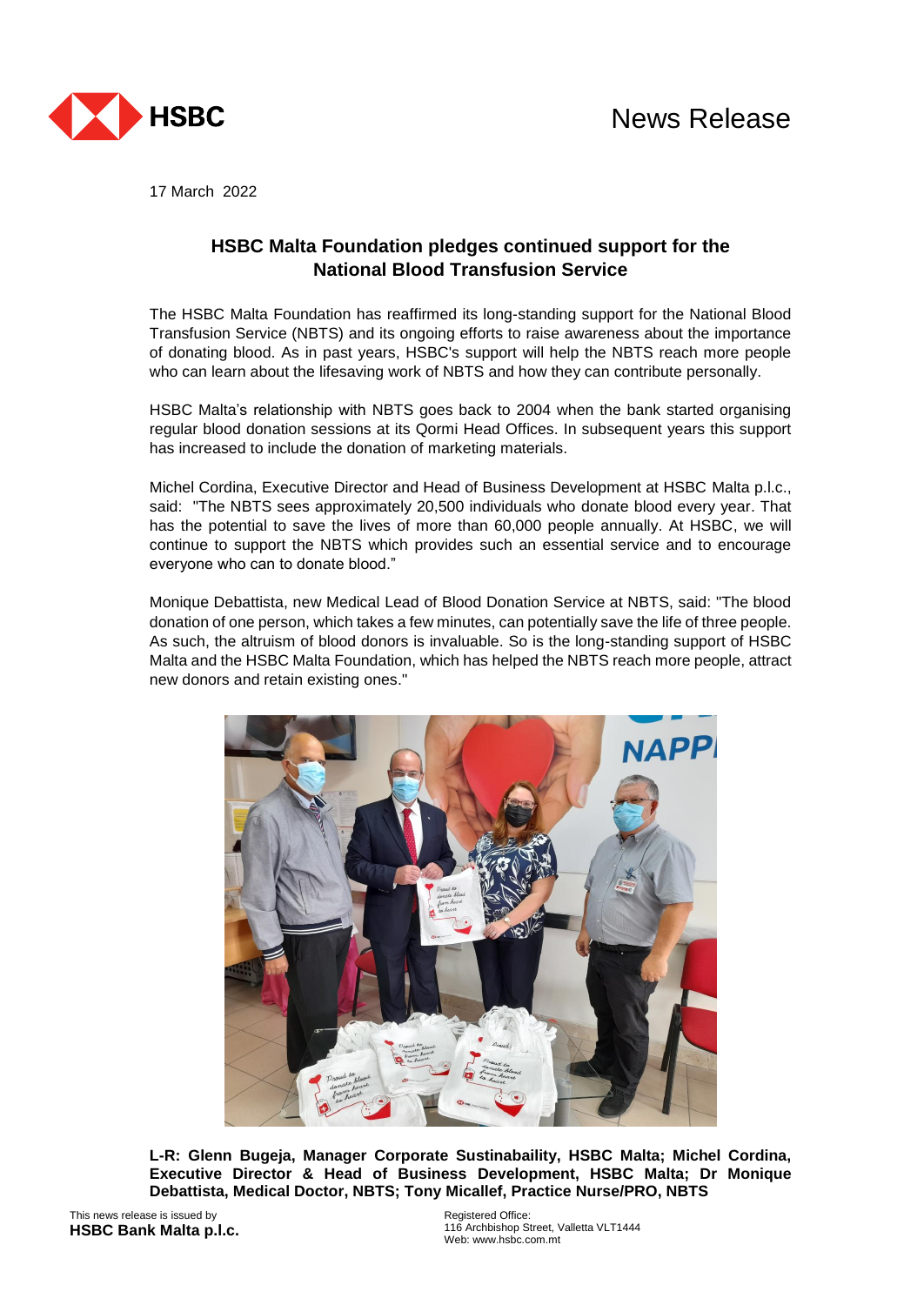



17 March 2022

## **HSBC Malta Foundation pledges continued support for the National Blood Transfusion Service**

The HSBC Malta Foundation has reaffirmed its long-standing support for the National Blood Transfusion Service (NBTS) and its ongoing efforts to raise awareness about the importance of donating blood. As in past years, HSBC's support will help the NBTS reach more people who can learn about the lifesaving work of NBTS and how they can contribute personally.

HSBC Malta's relationship with NBTS goes back to 2004 when the bank started organising regular blood donation sessions at its Qormi Head Offices. In subsequent years this support has increased to include the donation of marketing materials.

Michel Cordina, Executive Director and Head of Business Development at HSBC Malta p.l.c., said: "The NBTS sees approximately 20,500 individuals who donate blood every year. That has the potential to save the lives of more than 60,000 people annually. At HSBC, we will continue to support the NBTS which provides such an essential service and to encourage everyone who can to donate blood."

Monique Debattista, new Medical Lead of Blood Donation Service at NBTS, said: "The blood donation of one person, which takes a few minutes, can potentially save the life of three people. As such, the altruism of blood donors is invaluable. So is the long-standing support of HSBC Malta and the HSBC Malta Foundation, which has helped the NBTS reach more people, attract new donors and retain existing ones."



**L-R: Glenn Bugeja, Manager Corporate Sustinabaility, HSBC Malta; Michel Cordina, Executive Director & Head of Business Development, HSBC Malta; Dr Monique Debattista, Medical Doctor, NBTS; Tony Micallef, Practice Nurse/PRO, NBTS**

This news release is issued by **HSBC Bank Malta p.l.c.** Registered Office: 116 Archbishop Street, Valletta VLT1444 Web: www.hsbc.com.mt